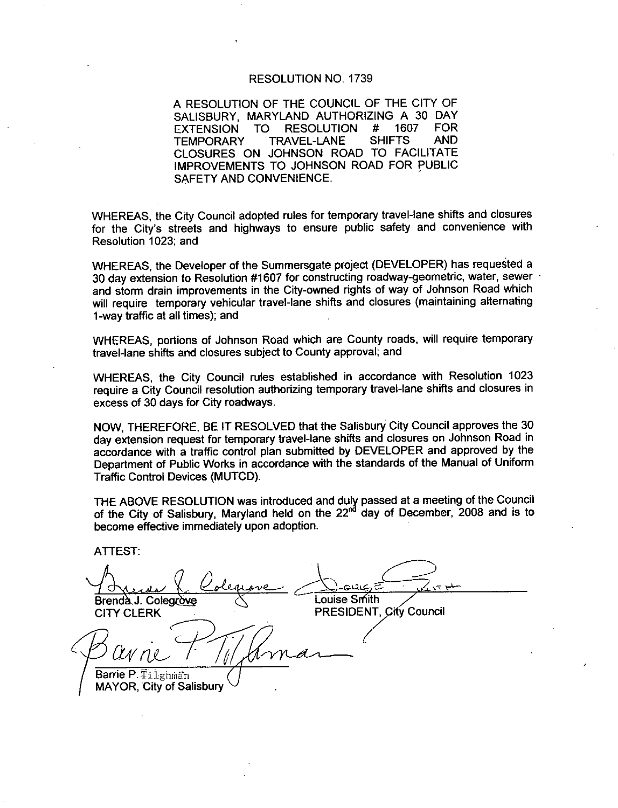## RESOLUTION NO. 1739

A RESOLUTION OF THE COUNCIL OF THE CITY OF SALISBURY, MARYLAND AUTHORIZING A 30 DAY<br>EXTENSION TO RESOLUTION # 1607 FOR EXTENSION TO RESOLUTION EXTENSION TO RESOLUTION # 1607 FOR<br>TEMPORARY TRAVEL-LANE SHIFTS AND<br>CLOSURES ON JOHNSON ROAD—TO-FACILITATE IMPROVEMENTS TO JOHNSON ROAD FOR PUBLIC SAFETY AND CONVENIENCE

WHEREAS, the City Council adopted rules for temporary travel-lane shifts and closures<br>for the City's streets and highways to ensure public safety and convenience with<br>Resolution 1023; and for the City's streets and highways to ensure public safety and convenience with Resolution 1023; and

WHEREAS, the Developer of the Summersgate project (DEVELOPER) has requested a WHEREAS, the Developer of the Summersgate project (DEVELOPER) has requested a<br>30 day extension to Resolution #1607 for constructing roadway-geometric, water, sewer 30 day extension to Resolution #1607 for constructing roadway-geometric, water, sewerties and storm drain improvements in the City-owned rights of way of Johnson Road which<br>will seguite themselve volving for travel lone sh So day extension to resolution whose for constructing redardly geometry, mater, corrected<br>and storm drain improvements in the City-owned rights of way of Johnson Road which<br>will require temporary vehicular travel-lane shif

WHEREAS, portions of Johnson Road which are County roads, will require temporary<br>travel-lane shifts and closures subject to County approval; and

WHEREAS, the City Council rules established in accordance with Resolution 1023<br>require a City Council resolution authorizing temporary travel-lane shifts and closures in excess of 30 days for City roadways

NOW, THEREFORE, BE IT RESOLVED that the Salisbury City Council approves the 30 day extension request for temporary travel-lane shifts and closures on Johnson Road in accordance with a traffic control plan submitted by DEVELOPER and approved by the Department of Public Works in accordance with the standards of the Manual of Uniform Traffic Control Devices (MUTCD).

THE ABOVE RESOLUTION was introduced and duly passed at a meeting of the Council<br>of the City of Salisbury, Mondand hold on the 22<sup>nd</sup> day of December, 2008 and is to of the City of Salisbury, Maryland held on the 22<sup>nd</sup> day of December, 2008 and is to become effective immediately upon adoption

ATTEST un Coleg Brenda J. Colegrove <br>CITY CLERK PRESIDENT PRESIDENT. City Council Barrie P. Tilghman MAYOR, City of Salisbury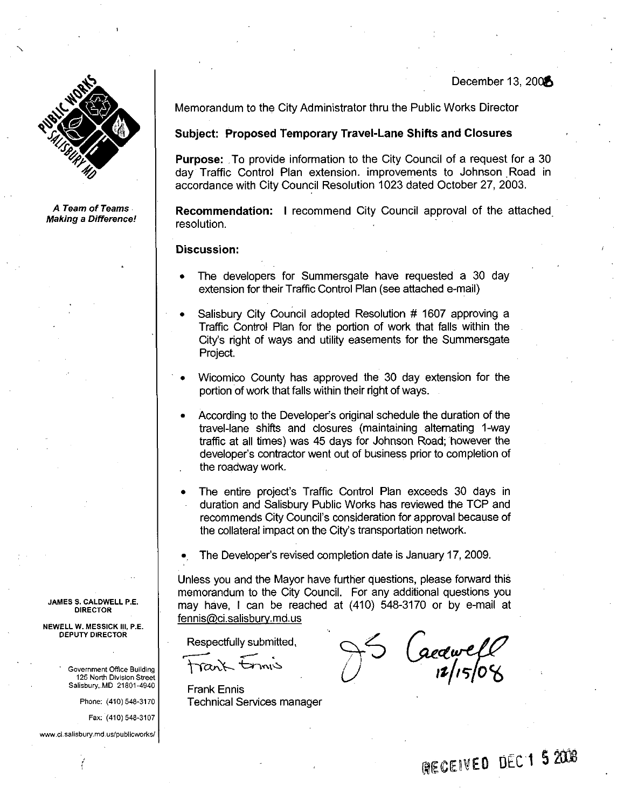

A Team of Teams **Making a Difference!**  Memorandum to the City Administrator thru the Public Works Director

## Subject: Proposed Temporary Travel-Lane Shifts and Closures

Purpose: To provide information to the City Council of a request for a 30 day Traffic Control Plan extension improvements to Johnson Road in accordance with City Council Resolution 1023 dated October 27, 2003.

**Recommendation:** I recommend City Council approval of the attached resolution

## Discussion

- The developers for Summersgate have requested a <sup>30</sup> day **ussion:**<br>The developers for Summersgate have requested a 30<br>extension for their Traffic Control Plan (see attached e-mail)
- Salisbury City Council adopted Resolution # 1607 approving a Traffic Control Plan for the portion of work that falls within the Salisbury City Council adopted Resolution # 1607 approving a<br>Traffic Control Plan for the portion of work that falls within the<br>City's right of ways and utility easements for the Summersgate<br>Proiect. Project.
- Wicomico County has approved the <sup>30</sup> day extension for the portion of work that falls within their right of ways
- Land Schedule the Developer's original schedule the duration of the portion of work that falls within their right of ways.<br>According to the Developer's original schedule the duration of the travel-lane shifts and closures vvicomico<br>
vortion of w<br>
According travel-lane<br>
traffic at all<br>
developer's<br>
the roadwa traffic at all times) was 45 days for Johnson Road; however the<br>developer's contractor went out of business prior to completion of<br>the roadway work.<br>The entire project's Traffic Control Plan exceeds 30 days in<br>duration and the roadway work
- duration and Salisbury Public Works has reviewed the TCP and recommends City Council's Control Plan exceeds 30 days in<br>duration and Salisbury Public Works has reviewed the TCP and<br>recommends City Council's consideration for approval because of<br>the collateral impact on the City's tra recommends City Council's consideration for approval because of the collateral impact on the City's transportation network. The entire project's Traffic Control Plan exceeds 30 day<br>duration and Salisbury Public Works has reviewed the TCP<br>recommends City Council's consideration for approval because<br>the collateral impact on the City's transportat
- 

Unless you and the Mayor have further questions, please forward this memorandum to the City Council. For any additional questions you Unless you and the Mayor have further questions, please forward this memorandum to the City Council. For any additional questions you may have, I can be reached at  $(410)$  548-3170 or by e-mail at fennis@ci salishury md u me collateral impact of<br>
• The Developer's revise<br>
Unless you and the Mayor<br>
memorandum to the City (<br>
may have, I can be read<br>
<u>fennis@ci.salisbury.md.us</u><br>
Respectfully submitted, fennis@ci.salisbury.md.us

Respectfully submitted

 $\begin{array}{c} \text{(aecwely)} \\ \text{(15)08} \end{array}$ 

Frank Ennis Technical Services manager

JAMES S. CALDWELL P.E. **DIRECTOR** 

NEWELL W. MESSICK III. P.E. DEPUTY DIRECTOR

> Government Office Building 125 North Division Street Salisbury MD <sup>21801</sup> <sup>4940</sup>

> > Phone: (410) 548-3170

Fax: (410) 548-3107

www.ci.salisbury.md.us/publicworks/

RECEIVED DEC 1 5 2008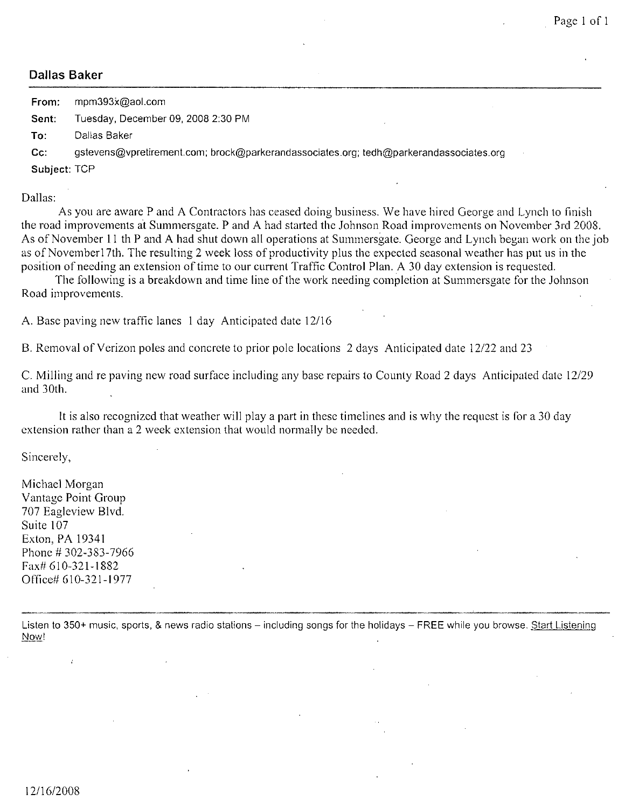| <b>Dallas Baker</b>      |                                                                                        |
|--------------------------|----------------------------------------------------------------------------------------|
| From:                    | mpm393x@aol.com                                                                        |
| Sent:                    | Tuesday, December 09, 2008 2:30 PM                                                     |
| To:                      | Dallas Baker                                                                           |
| $\mathsf{C}\mathsf{c}$ : | gstevens@vpretirement.com; brock@parkerandassociates.org; tedh@parkerandassociates.org |
| Subject: TCP             |                                                                                        |
|                          |                                                                                        |

Dallas

As you are aware <sup>P</sup> and A Contractors has ceased doing business We have hired George and Lynch to finish the road improvements at Summersgate. P and A had started the Johnson Road improvements on November 3rd 2008. As of November 11 th P and A had shut down all operations at Summersgate. George and Lynch began work on the job as of Novemberl 7th. The resulting 2 week loss of productivity plus the expected seasonal weather has put us in the position of needing an extension of time to our current Traffic Control Plan. A 30 day extension is requested.

The following is a breakdown and time line of the work needing completion at Summersgate for the Johnson Road improvements

A. Base paving new traffic lanes 1 day Anticipated date 12/16

B. Removal of Verizon poles and concrete to prior pole locations 2 days Anticipated date 12/22 and 23

<sup>C</sup> Milling and re paving new road surface including any base repairs to County Road <sup>2</sup> days Anticipated date 1229 and 30th

It is also recognized that weather will play a part in these timelines and is why the request is for a 30 day extension rather than a <sup>2</sup> week extension that would normally be needed

Sincerely,

Michael Morgan Vantage Point Group <sup>707</sup> Eagleview Blvd Suite 107 Exton, PA 19341 Suite 107<br>Exton, PA 19341<br>Phone # 302-383-7966<br>Eau# 610-321-1882 Exton, PA 19341<br>Phone # 302-383-79<br>Fax# 610-321-1882<br>Offica# 610-321-193 Fax# 610-321-1882<br>Office# 610-321-1977

Listen to 350+ music, sports, & news radio stations - including songs for the holidays - FREE while you browse. Start Listening Now